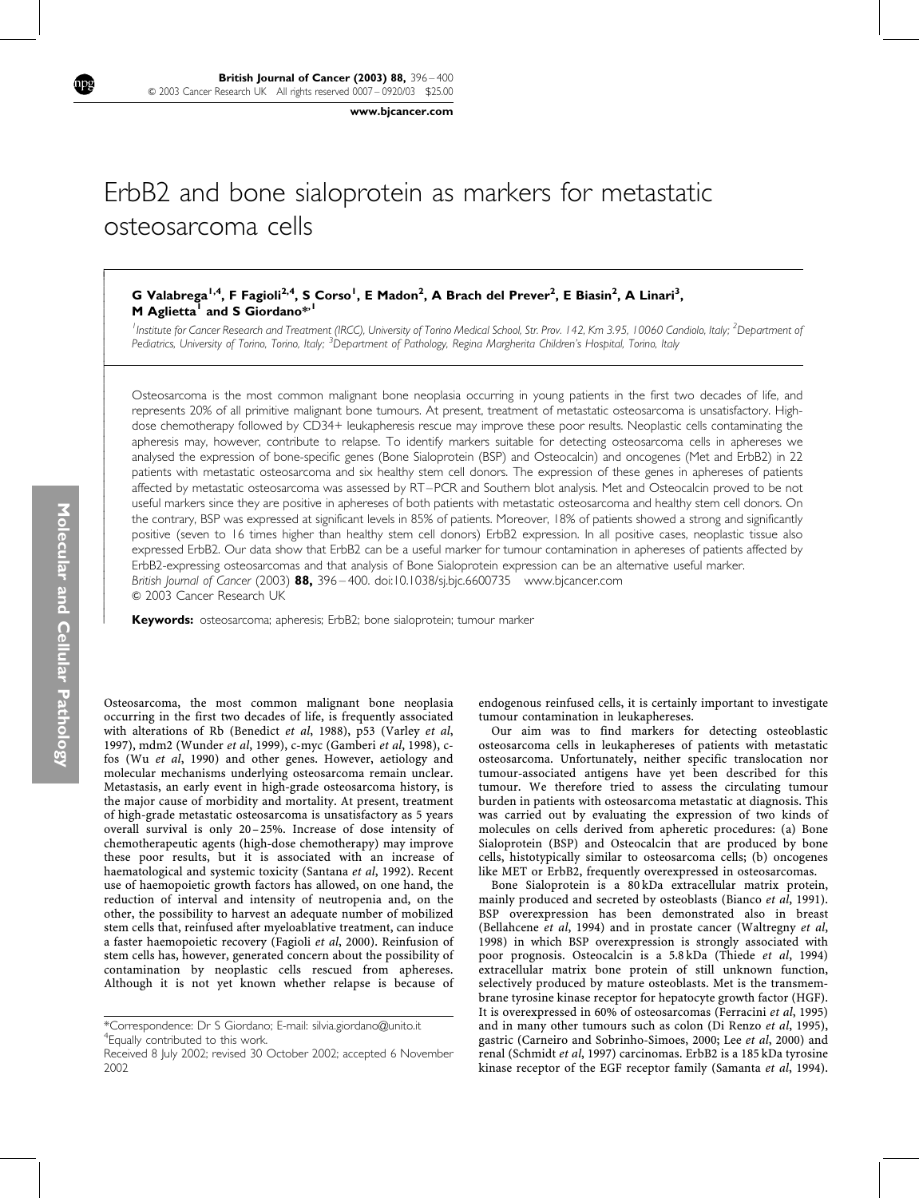www.bjcancer.com

# ErbB2 and bone sialoprotein as markers for metastatic osteosarcoma cells

# G Valabrega<sup>1,4</sup>, F Fagioli<sup>2,4</sup>, S Corso<sup>1</sup>, E Madon<sup>2</sup>, A Brach del Prever<sup>2</sup>, E Biasin<sup>2</sup>, A Linari<sup>3</sup>, M Aglietta<sup>1</sup> and S Giordano\*<sup>,1</sup>

<sup>1</sup> Institute for Cancer Research and Treatment (IRCC), University of Torino Medical School, Str. Prov. 142, Km 3.95, 10060 Candiolo, Italy; <sup>2</sup>Department of Pediatrics, University of Torino, Torino, Italy; <sup>3</sup>Department of Pathology, Regina Margherita Children's Hospital, Torino, Italy

Osteosarcoma is the most common malignant bone neoplasia occurring in young patients in the first two decades of life, and represents 20% of all primitive malignant bone tumours. At present, treatment of metastatic osteosarcoma is unsatisfactory. Highdose chemotherapy followed by CD34+ leukapheresis rescue may improve these poor results. Neoplastic cells contaminating the apheresis may, however, contribute to relapse. To identify markers suitable for detecting osteosarcoma cells in aphereses we analysed the expression of bone-specific genes (Bone Sialoprotein (BSP) and Osteocalcin) and oncogenes (Met and ErbB2) in 22 patients with metastatic osteosarcoma and six healthy stem cell donors. The expression of these genes in aphereses of patients affected by metastatic osteosarcoma was assessed by RT–PCR and Southern blot analysis. Met and Osteocalcin proved to be not useful markers since they are positive in aphereses of both patients with metastatic osteosarcoma and healthy stem cell donors. On the contrary, BSP was expressed at significant levels in 85% of patients. Moreover, 18% of patients showed a strong and significantly positive (seven to 16 times higher than healthy stem cell donors) ErbB2 expression. In all positive cases, neoplastic tissue also expressed ErbB2. Our data show that ErbB2 can be a useful marker for tumour contamination in aphereses of patients affected by ErbB2-expressing osteosarcomas and that analysis of Bone Sialoprotein expression can be an alternative useful marker. British Journal of Cancer (2003) 88, 396 – 400. doi:10.1038/sj.bjc.6600735 www.bjcancer.com  $@$  2003 Cancer Research UK

Keywords: osteosarcoma; apheresis; ErbB2; bone sialoprotein; tumour marker

Osteosarcoma, the most common malignant bone neoplasia occurring in the first two decades of life, is frequently associated with alterations of Rb (Benedict et al, 1988), p53 (Varley et al, 1997), mdm2 (Wunder et al, 1999), c-myc (Gamberi et al, 1998), cfos (Wu et al, 1990) and other genes. However, aetiology and molecular mechanisms underlying osteosarcoma remain unclear. Metastasis, an early event in high-grade osteosarcoma history, is the major cause of morbidity and mortality. At present, treatment of high-grade metastatic osteosarcoma is unsatisfactory as 5 years overall survival is only 20–25%. Increase of dose intensity of chemotherapeutic agents (high-dose chemotherapy) may improve these poor results, but it is associated with an increase of haematological and systemic toxicity (Santana et al, 1992). Recent use of haemopoietic growth factors has allowed, on one hand, the reduction of interval and intensity of neutropenia and, on the other, the possibility to harvest an adequate number of mobilized stem cells that, reinfused after myeloablative treatment, can induce a faster haemopoietic recovery (Fagioli et al, 2000). Reinfusion of stem cells has, however, generated concern about the possibility of contamination by neoplastic cells rescued from aphereses. Although it is not yet known whether relapse is because of

endogenous reinfused cells, it is certainly important to investigate tumour contamination in leukaphereses.

Our aim was to find markers for detecting osteoblastic osteosarcoma cells in leukaphereses of patients with metastatic osteosarcoma. Unfortunately, neither specific translocation nor tumour-associated antigens have yet been described for this tumour. We therefore tried to assess the circulating tumour burden in patients with osteosarcoma metastatic at diagnosis. This was carried out by evaluating the expression of two kinds of molecules on cells derived from apheretic procedures: (a) Bone Sialoprotein (BSP) and Osteocalcin that are produced by bone cells, histotypically similar to osteosarcoma cells; (b) oncogenes like MET or ErbB2, frequently overexpressed in osteosarcomas.

Bone Sialoprotein is a 80 kDa extracellular matrix protein, mainly produced and secreted by osteoblasts (Bianco et al, 1991). BSP overexpression has been demonstrated also in breast (Bellahcene et al, 1994) and in prostate cancer (Waltregny et al, 1998) in which BSP overexpression is strongly associated with poor prognosis. Osteocalcin is a 5.8 kDa (Thiede et al, 1994) extracellular matrix bone protein of still unknown function, selectively produced by mature osteoblasts. Met is the transmembrane tyrosine kinase receptor for hepatocyte growth factor (HGF). It is overexpressed in 60% of osteosarcomas (Ferracini et al, 1995) and in many other tumours such as colon (Di Renzo et al, 1995), gastric (Carneiro and Sobrinho-Simoes, 2000; Lee et al, 2000) and renal (Schmidt et al, 1997) carcinomas. ErbB2 is a 185 kDa tyrosine kinase receptor of the EGF receptor family (Samanta et al, 1994).

 $\overline{1}$  $\overline{\phantom{a}}$  $\overline{\phantom{a}}$  $\overline{\phantom{a}}$  $\overline{\phantom{a}}$  $\overline{\phantom{a}}$  $\overline{\phantom{a}}$  $\overline{\phantom{a}}$  $\overline{\phantom{a}}$  $\overline{\phantom{a}}$  $\overline{\phantom{a}}$  $\overline{\phantom{a}}$ ļ ľ  $\overline{\phantom{a}}$  $\overline{\phantom{a}}$  $\overline{\phantom{a}}$  $\overline{\phantom{a}}$  $\overline{\phantom{a}}$  $\overline{\phantom{a}}$  $\overline{\phantom{a}}$  $\overline{\phantom{a}}$  $\overline{\phantom{a}}$  $\overline{\phantom{a}}$  $\overline{\phantom{a}}$  $\overline{\phantom{a}}$  $\overline{\phantom{a}}$  $\overline{\phantom{a}}$  $\overline{\phantom{a}}$  $\overline{\phantom{a}}$  $\overline{\phantom{a}}$  $\overline{\phantom{a}}$  $\overline{\phantom{a}}$  $\overline{\phantom{a}}$  $\overline{\phantom{a}}$  $\overline{\phantom{a}}$  $\overline{\phantom{a}}$  $\overline{\phantom{a}}$  $\overline{\phantom{a}}$  $\overline{\phantom{a}}$  $\overline{\phantom{a}}$  $\overline{\phantom{a}}$  $\overline{\phantom{a}}$  $\overline{\phantom{a}}$  $\overline{\phantom{a}}$  $\overline{\phantom{a}}$  $\overline{\phantom{a}}$ 

<sup>\*</sup>Correspondence: Dr S Giordano; E-mail: silvia.giordano@unito.it 4 Equally contributed to this work.

Received 8 July 2002; revised 30 October 2002; accepted 6 November 2002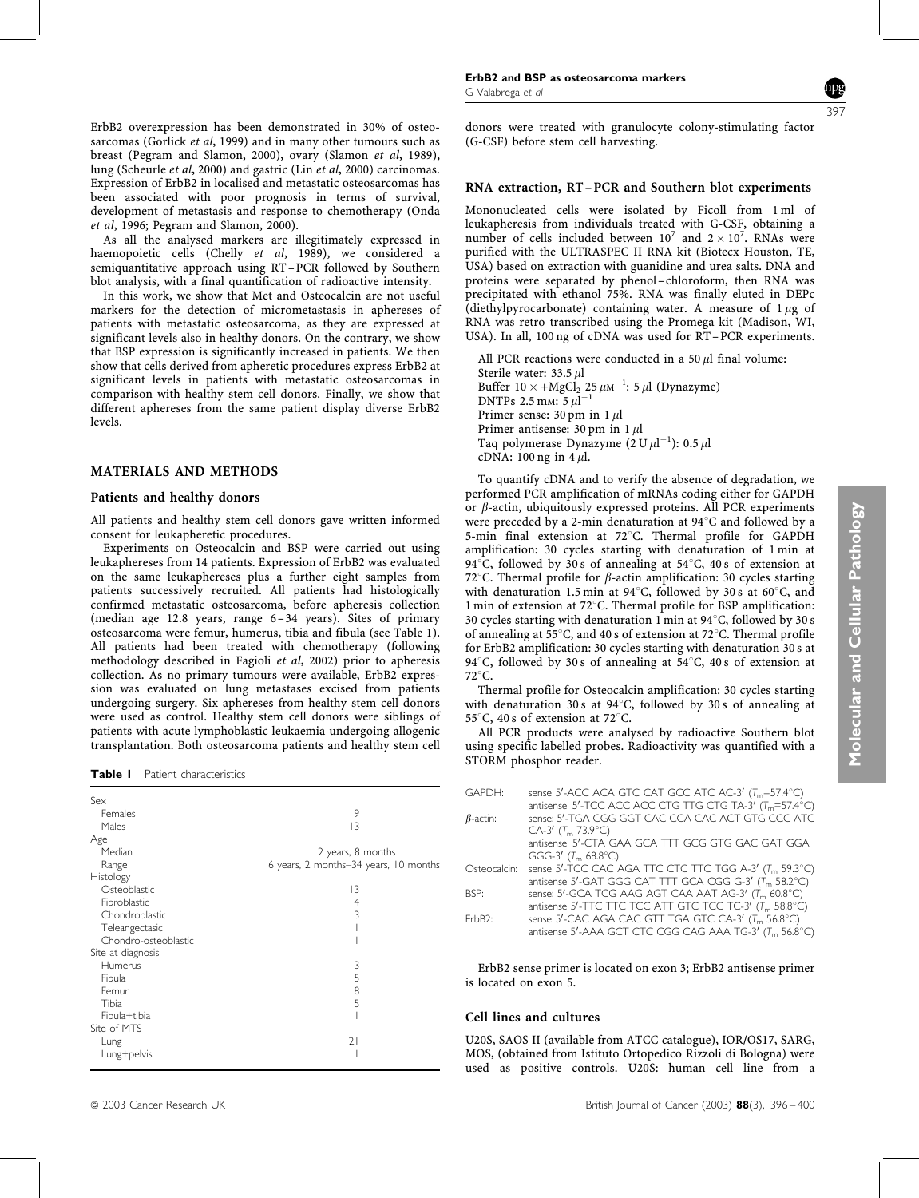ErbB2 overexpression has been demonstrated in 30% of osteosarcomas (Gorlick et al, 1999) and in many other tumours such as breast (Pegram and Slamon, 2000), ovary (Slamon et al, 1989), lung (Scheurle et al, 2000) and gastric (Lin et al, 2000) carcinomas. Expression of ErbB2 in localised and metastatic osteosarcomas has been associated with poor prognosis in terms of survival, development of metastasis and response to chemotherapy (Onda et al, 1996; Pegram and Slamon, 2000).

As all the analysed markers are illegitimately expressed in haemopoietic cells (Chelly et al, 1989), we considered a semiquantitative approach using RT–PCR followed by Southern blot analysis, with a final quantification of radioactive intensity.

In this work, we show that Met and Osteocalcin are not useful markers for the detection of micrometastasis in aphereses of patients with metastatic osteosarcoma, as they are expressed at significant levels also in healthy donors. On the contrary, we show that BSP expression is significantly increased in patients. We then show that cells derived from apheretic procedures express ErbB2 at significant levels in patients with metastatic osteosarcomas in comparison with healthy stem cell donors. Finally, we show that different aphereses from the same patient display diverse ErbB2 levels.

#### MATERIALS AND METHODS

#### Patients and healthy donors

All patients and healthy stem cell donors gave written informed consent for leukapheretic procedures.

Experiments on Osteocalcin and BSP were carried out using leukaphereses from 14 patients. Expression of ErbB2 was evaluated on the same leukaphereses plus a further eight samples from patients successively recruited. All patients had histologically confirmed metastatic osteosarcoma, before apheresis collection (median age 12.8 years, range 6–34 years). Sites of primary osteosarcoma were femur, humerus, tibia and fibula (see Table 1). All patients had been treated with chemotherapy (following methodology described in Fagioli et al, 2002) prior to apheresis collection. As no primary tumours were available, ErbB2 expression was evaluated on lung metastases excised from patients undergoing surgery. Six aphereses from healthy stem cell donors were used as control. Healthy stem cell donors were siblings of patients with acute lymphoblastic leukaemia undergoing allogenic transplantation. Both osteosarcoma patients and healthy stem cell

Table I Patient characteristics

| Sex                  |                                       |
|----------------------|---------------------------------------|
| Females              | 9                                     |
| Males                | 13                                    |
| Age                  |                                       |
| Median               | 12 years, 8 months                    |
| Range                | 6 years, 2 months-34 years, 10 months |
| Histology            |                                       |
| Osteoblastic         | 13                                    |
| Fibroblastic         | 4                                     |
| Chondroblastic       | 3                                     |
| Teleangectasic       |                                       |
| Chondro-osteoblastic |                                       |
| Site at diagnosis    |                                       |
| Humerus              | 3                                     |
| Fibula               | 5                                     |
| Femur                | 8                                     |
| Tibia                | 5                                     |
| Fibula+tibia         |                                       |
| Site of MTS          |                                       |
| Lung                 | 21                                    |
| Lung+pelvis          |                                       |



donors were treated with granulocyte colony-stimulating factor (G-CSF) before stem cell harvesting.

#### RNA extraction, RT–PCR and Southern blot experiments

Mononucleated cells were isolated by Ficoll from 1 ml of leukapheresis from individuals treated with G-CSF, obtaining a number of cells included between  $10^7$  and  $2 \times 10^7$ . RNAs were purified with the ULTRASPEC II RNA kit (Biotecx Houston, TE, USA) based on extraction with guanidine and urea salts. DNA and proteins were separated by phenol–chloroform, then RNA was precipitated with ethanol 75%. RNA was finally eluted in DEPc (diethylpyrocarbonate) containing water. A measure of  $1 \mu$ g of RNA was retro transcribed using the Promega kit (Madison, WI, USA). In all, 100 ng of cDNA was used for RT– PCR experiments.

All PCR reactions were conducted in a 50  $\mu$ l final volume: Sterile water: 33.5 ul Buffer  $10 \times + \text{MgCl}_2$  25  $\mu \text{m}^{-1}$ : 5  $\mu$ l (Dynazyme) DNTPs 2.5 mm:  $5 \mu \tilde{1}^{-1}$ Primer sense: 30 pm in 1  $\mu$ l Primer antisense: 30 pm in 1  $\mu$ l Taq polymerase Dynazyme (2 U  $\mu$ l<sup>-1</sup>): 0.5  $\mu$ l cDNA:  $100$  ng in  $4 \mu$ .

To quantify cDNA and to verify the absence of degradation, we performed PCR amplification of mRNAs coding either for GAPDH or  $\beta$ -actin, ubiquitously expressed proteins. All PCR experiments were preceded by a 2-min denaturation at 94°C and followed by a 5-min final extension at 72°C. Thermal profile for GAPDH amplification: 30 cycles starting with denaturation of 1 min at 94 $\degree$ C, followed by 30 s of annealing at 54 $\degree$ C, 40 s of extension at 72°C. Thermal profile for  $\beta$ -actin amplification: 30 cycles starting with denaturation 1.5 min at 94 $^{\circ}$ C, followed by 30 s at 60 $^{\circ}$ C, and 1 min of extension at  $72^{\circ}$ C. Thermal profile for BSP amplification: 30 cycles starting with denaturation 1 min at  $94^{\circ}$ C, followed by 30 s of annealing at 55 $^{\circ}$ C, and 40 s of extension at 72 $^{\circ}$ C. Thermal profile for ErbB2 amplification: 30 cycles starting with denaturation 30 s at 94<sup>°</sup>C, followed by 30 s of annealing at  $54^{\circ}$ C, 40 s of extension at  $72^{\circ}$ C.

Thermal profile for Osteocalcin amplification: 30 cycles starting with denaturation 30 s at 94 $^{\circ}$ C, followed by 30 s of annealing at 55 $\degree$ C, 40 s of extension at 72 $\degree$ C.

All PCR products were analysed by radioactive Southern blot using specific labelled probes. Radioactivity was quantified with a STORM phosphor reader.

| GAPDH:          | sense 5'-ACC ACA GTC CAT GCC ATC AC-3' (T <sub>m</sub> =57.4°C)      |
|-----------------|----------------------------------------------------------------------|
|                 | antisense: 5'-TCC ACC ACC CTG TTG CTG TA-3' (T <sub>m</sub> =57.4°C) |
| $\beta$ -actin: | sense: 5'-TGA CGG GGT CAC CCA CAC ACT GTG CCC ATC                    |
|                 | $CA-3'$ (T <sub>m</sub> 73.9 °C)                                     |
|                 | antisense: 5'-CTA GAA GCA TTT GCG GTG GAC GAT GGA                    |
|                 | GGG-3' $(T_m 68.8^{\circ}C)$                                         |
| Osteocalcin:    | sense 5'-TCC CAC AGA TTC CTC TTC TGG A-3' (T <sub>m</sub> 59.3°C)    |
|                 | antisense 5'-GAT GGG CAT TTT GCA CGG G-3' (T <sub>m</sub> 58.2°C)    |
| BSP:            | sense: 5'-GCA TCG AAG AGT CAA AAT AG-3' (T <sub>m</sub> 60.8°C)      |
|                 | antisense 5'-TTC TTC TCC ATT GTC TCC TC-3' (T <sub>m</sub> 58.8°C)   |
| FrbB2:          | sense 5'-CAC AGA CAC GTT TGA GTC CA-3' (T <sub>m</sub> 56.8°C)       |
|                 | antisense 5'-AAA GCT CTC CGG CAG AAA TG-3' (T <sub>m</sub> 56.8°C)   |

ErbB2 sense primer is located on exon 3; ErbB2 antisense primer is located on exon 5.

#### Cell lines and cultures

U20S, SAOS II (available from ATCC catalogue), IOR/OS17, SARG, MOS, (obtained from Istituto Ortopedico Rizzoli di Bologna) were used as positive controls. U20S: human cell line from a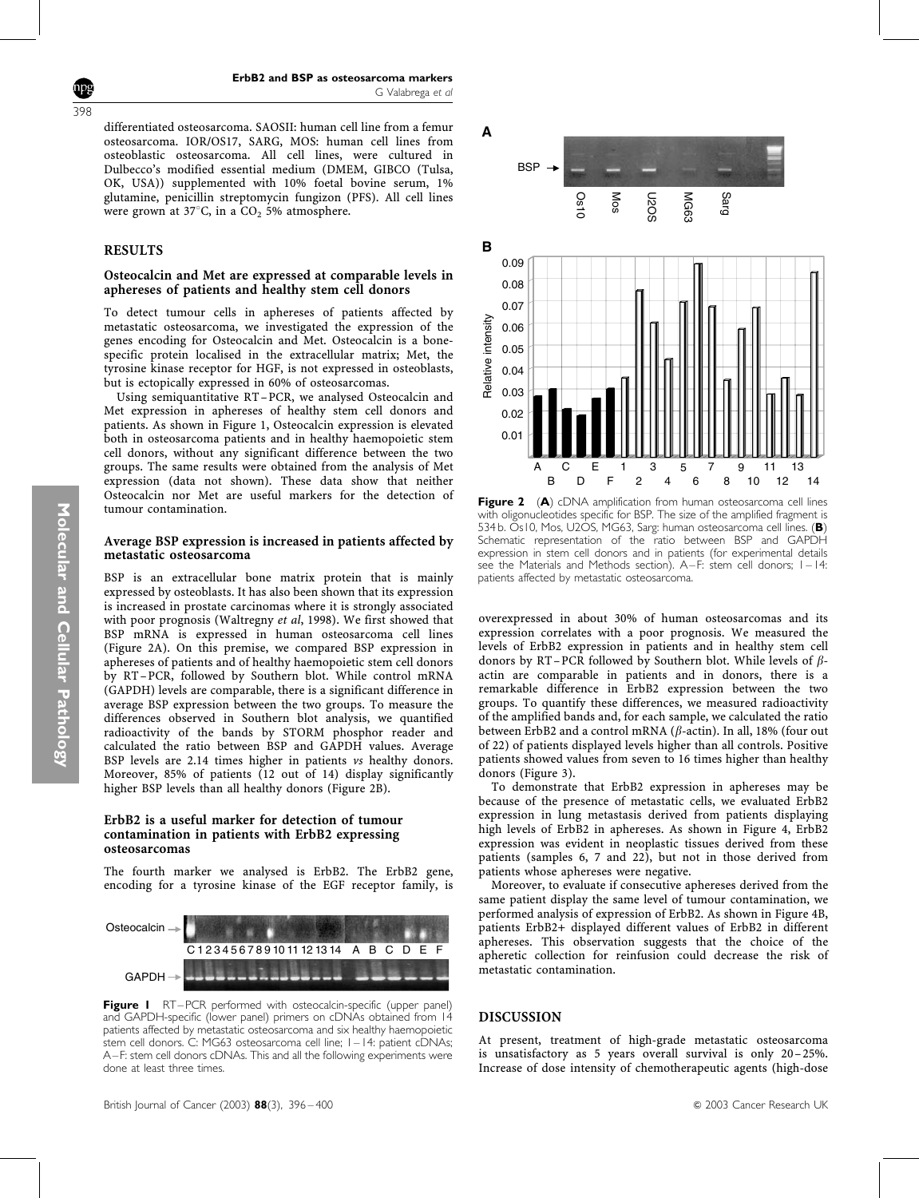differentiated osteosarcoma. SAOSII: human cell line from a femur osteosarcoma. IOR/OS17, SARG, MOS: human cell lines from osteoblastic osteosarcoma. All cell lines, were cultured in Dulbecco's modified essential medium (DMEM, GIBCO (Tulsa, OK, USA)) supplemented with 10% foetal bovine serum, 1% glutamine, penicillin streptomycin fungizon (PFS). All cell lines were grown at 37 $\degree$ C, in a CO<sub>2</sub> 5% atmosphere.

## RESULTS

398

## Osteocalcin and Met are expressed at comparable levels in aphereses of patients and healthy stem cell donors

To detect tumour cells in aphereses of patients affected by metastatic osteosarcoma, we investigated the expression of the genes encoding for Osteocalcin and Met. Osteocalcin is a bonespecific protein localised in the extracellular matrix; Met, the tyrosine kinase receptor for HGF, is not expressed in osteoblasts, but is ectopically expressed in 60% of osteosarcomas.

Using semiquantitative RT–PCR, we analysed Osteocalcin and Met expression in aphereses of healthy stem cell donors and patients. As shown in Figure 1, Osteocalcin expression is elevated both in osteosarcoma patients and in healthy haemopoietic stem cell donors, without any significant difference between the two groups. The same results were obtained from the analysis of Met expression (data not shown). These data show that neither Osteocalcin nor Met are useful markers for the detection of tumour contamination.

## Average BSP expression is increased in patients affected by metastatic osteosarcoma

BSP is an extracellular bone matrix protein that is mainly expressed by osteoblasts. It has also been shown that its expression is increased in prostate carcinomas where it is strongly associated with poor prognosis (Waltregny et al, 1998). We first showed that BSP mRNA is expressed in human osteosarcoma cell lines (Figure 2A). On this premise, we compared BSP expression in aphereses of patients and of healthy haemopoietic stem cell donors by RT–PCR, followed by Southern blot. While control mRNA (GAPDH) levels are comparable, there is a significant difference in average BSP expression between the two groups. To measure the differences observed in Southern blot analysis, we quantified radioactivity of the bands by STORM phosphor reader and calculated the ratio between BSP and GAPDH values. Average BSP levels are 2.14 times higher in patients vs healthy donors. Moreover, 85% of patients (12 out of 14) display significantly higher BSP levels than all healthy donors (Figure 2B).

## ErbB2 is a useful marker for detection of tumour contamination in patients with ErbB2 expressing osteosarcomas

The fourth marker we analysed is ErbB2. The ErbB2 gene, encoding for a tyrosine kinase of the EGF receptor family, is



Figure I RT–PCR performed with osteocalcin-specific (upper panel) and GAPDH-specific (lower panel) primers on cDNAs obtained from 14 patients affected by metastatic osteosarcoma and six healthy haemopoietic stem cell donors. C: MG63 osteosarcoma cell line; 1–14: patient cDNAs; A–F: stem cell donors cDNAs. This and all the following experiments were done at least three times.



Figure 2 (A) cDNA amplification from human osteosarcoma cell lines with oligonucleotides specific for BSP. The size of the amplified fragment is 534 b. Os10, Mos, U2OS, MG63, Sarg: human osteosarcoma cell lines. (B) Schematic representation of the ratio between BSP and GAPDH expression in stem cell donors and in patients (for experimental details see the Materials and Methods section). A–F: stem cell donors; 1–14: patients affected by metastatic osteosarcoma.

overexpressed in about 30% of human osteosarcomas and its expression correlates with a poor prognosis. We measured the levels of ErbB2 expression in patients and in healthy stem cell donors by RT–PCR followed by Southern blot. While levels of  $\beta$ actin are comparable in patients and in donors, there is a remarkable difference in ErbB2 expression between the two groups. To quantify these differences, we measured radioactivity of the amplified bands and, for each sample, we calculated the ratio between ErbB2 and a control mRNA ( $\beta$ -actin). In all, 18% (four out of 22) of patients displayed levels higher than all controls. Positive patients showed values from seven to 16 times higher than healthy donors (Figure 3).

To demonstrate that ErbB2 expression in aphereses may be because of the presence of metastatic cells, we evaluated ErbB2 expression in lung metastasis derived from patients displaying high levels of ErbB2 in aphereses. As shown in Figure 4, ErbB2 expression was evident in neoplastic tissues derived from these patients (samples 6, 7 and 22), but not in those derived from patients whose aphereses were negative.

Moreover, to evaluate if consecutive aphereses derived from the same patient display the same level of tumour contamination, we performed analysis of expression of ErbB2. As shown in Figure 4B, patients ErbB2+ displayed different values of ErbB2 in different aphereses. This observation suggests that the choice of the apheretic collection for reinfusion could decrease the risk of metastatic contamination.

## DISCUSSION

At present, treatment of high-grade metastatic osteosarcoma is unsatisfactory as 5 years overall survival is only 20-25%. Increase of dose intensity of chemotherapeutic agents (high-dose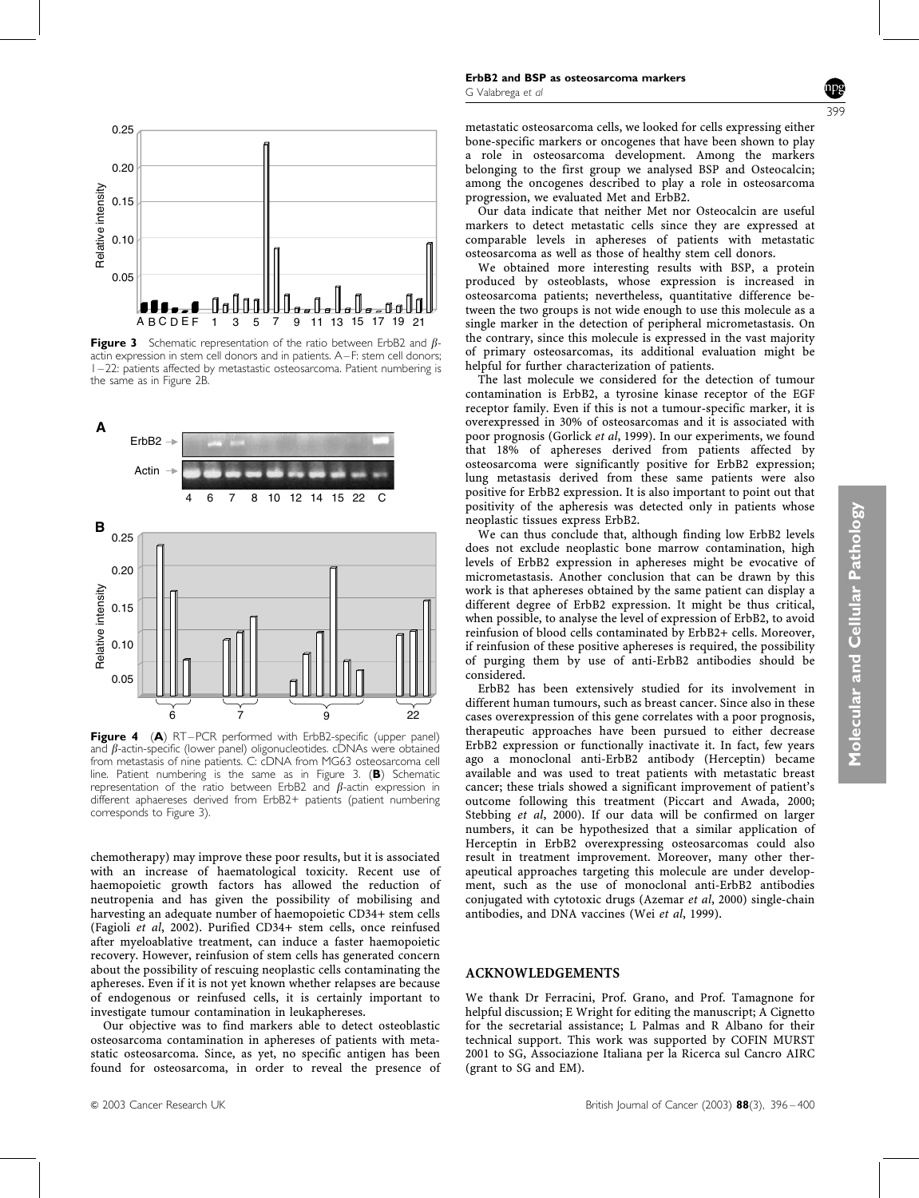

Figure 3 Schematic representation of the ratio between ErbB2 and  $\beta$ actin expression in stem cell donors and in patients. A–F: stem cell donors; 1–22: patients affected by metastastic osteosarcoma. Patient numbering is the same as in Figure 2B.



Figure 4 (A) RT–PCR performed with ErbB2-specific (upper panel) and  $\beta$ -actin-specific (lower panel) oligonucleotides. cDNAs were obtained from metastasis of nine patients. C: cDNA from MG63 osteosarcoma cell line. Patient numbering is the same as in Figure 3. (B) Schematic representation of the ratio between ErbB2 and  $\beta$ -actin expression in different aphaereses derived from ErbB2+ patients (patient numbering corresponds to Figure 3).

chemotherapy) may improve these poor results, but it is associated with an increase of haematological toxicity. Recent use of haemopoietic growth factors has allowed the reduction of neutropenia and has given the possibility of mobilising and harvesting an adequate number of haemopoietic CD34+ stem cells (Fagioli et al, 2002). Purified CD34+ stem cells, once reinfused after myeloablative treatment, can induce a faster haemopoietic recovery. However, reinfusion of stem cells has generated concern about the possibility of rescuing neoplastic cells contaminating the aphereses. Even if it is not yet known whether relapses are because of endogenous or reinfused cells, it is certainly important to investigate tumour contamination in leukaphereses.

Our objective was to find markers able to detect osteoblastic osteosarcoma contamination in aphereses of patients with metastatic osteosarcoma. Since, as yet, no specific antigen has been found for osteosarcoma, in order to reveal the presence of 399

Our data indicate that neither Met nor Osteocalcin are useful markers to detect metastatic cells since they are expressed at comparable levels in aphereses of patients with metastatic osteosarcoma as well as those of healthy stem cell donors.

We obtained more interesting results with BSP, a protein produced by osteoblasts, whose expression is increased in osteosarcoma patients; nevertheless, quantitative difference between the two groups is not wide enough to use this molecule as a single marker in the detection of peripheral micrometastasis. On the contrary, since this molecule is expressed in the vast majority of primary osteosarcomas, its additional evaluation might be helpful for further characterization of patients.

The last molecule we considered for the detection of tumour contamination is ErbB2, a tyrosine kinase receptor of the EGF receptor family. Even if this is not a tumour-specific marker, it is overexpressed in 30% of osteosarcomas and it is associated with poor prognosis (Gorlick et al, 1999). In our experiments, we found that 18% of aphereses derived from patients affected by osteosarcoma were significantly positive for ErbB2 expression; lung metastasis derived from these same patients were also positive for ErbB2 expression. It is also important to point out that positivity of the apheresis was detected only in patients whose neoplastic tissues express ErbB2.

We can thus conclude that, although finding low ErbB2 levels does not exclude neoplastic bone marrow contamination, high levels of ErbB2 expression in aphereses might be evocative of micrometastasis. Another conclusion that can be drawn by this work is that aphereses obtained by the same patient can display a different degree of ErbB2 expression. It might be thus critical, when possible, to analyse the level of expression of ErbB2, to avoid reinfusion of blood cells contaminated by ErbB2+ cells. Moreover, if reinfusion of these positive aphereses is required, the possibility of purging them by use of anti-ErbB2 antibodies should be considered.

ErbB2 has been extensively studied for its involvement in different human tumours, such as breast cancer. Since also in these cases overexpression of this gene correlates with a poor prognosis, therapeutic approaches have been pursued to either decrease ErbB2 expression or functionally inactivate it. In fact, few years ago a monoclonal anti-ErbB2 antibody (Herceptin) became available and was used to treat patients with metastatic breast cancer; these trials showed a significant improvement of patient's outcome following this treatment (Piccart and Awada, 2000; Stebbing et al, 2000). If our data will be confirmed on larger numbers, it can be hypothesized that a similar application of Herceptin in ErbB2 overexpressing osteosarcomas could also result in treatment improvement. Moreover, many other therapeutical approaches targeting this molecule are under development, such as the use of monoclonal anti-ErbB2 antibodies conjugated with cytotoxic drugs (Azemar et al, 2000) single-chain antibodies, and DNA vaccines (Wei et al, 1999).

# ACKNOWLEDGEMENTS

We thank Dr Ferracini, Prof. Grano, and Prof. Tamagnone for helpful discussion; E Wright for editing the manuscript; A Cignetto for the secretarial assistance; L Palmas and R Albano for their technical support. This work was supported by COFIN MURST 2001 to SG, Associazione Italiana per la Ricerca sul Cancro AIRC (grant to SG and EM).